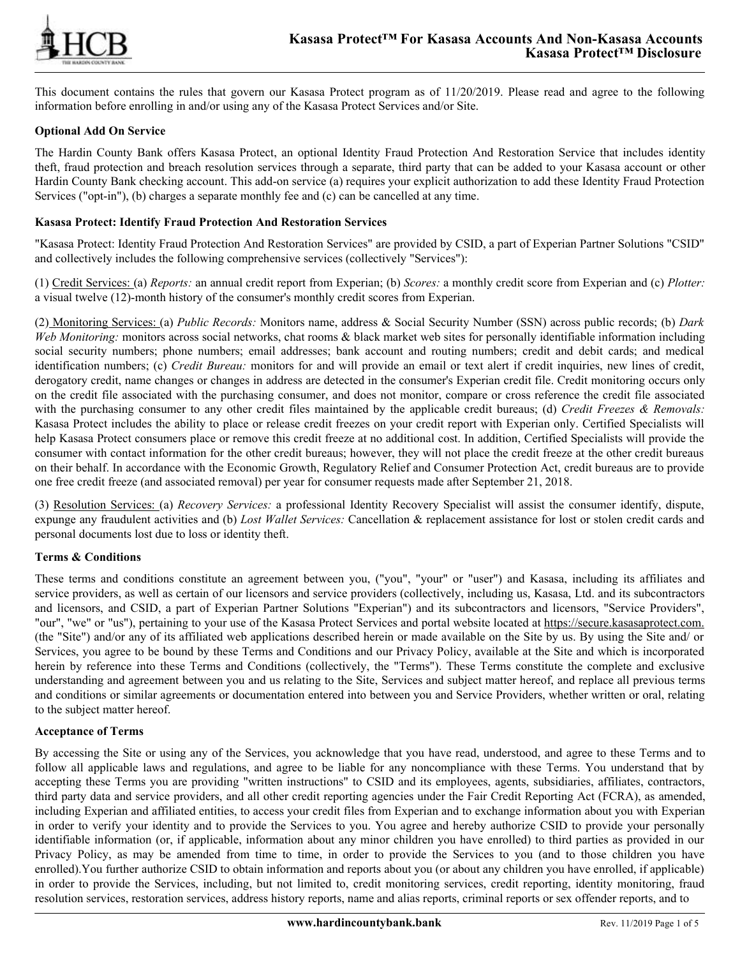

This document contains the rules that govern our Kasasa Protect program as of 11/20/2019. Please read and agree to the following information before enrolling in and/or using any of the Kasasa Protect Services and/or Site.

## **Optional Add On Service**

The Hardin County Bank offers Kasasa Protect, an optional Identity Fraud Protection And Restoration Service that includes identity theft, fraud protection and breach resolution services through a separate, third party that can be added to your Kasasa account or other Hardin County Bank checking account. This add-on service (a) requires your explicit authorization to add these Identity Fraud Protection Services ("opt-in"), (b) charges a separate monthly fee and (c) can be cancelled at any time.

## **Kasasa Protect: Identify Fraud Protection And Restoration Services**

"Kasasa Protect: Identity Fraud Protection And Restoration Services" are provided by CSID, a part of Experian Partner Solutions "CSID" and collectively includes the following comprehensive services (collectively "Services"):

(1) Credit Services: (a) *Reports:* an annual credit report from Experian; (b) *Scores:* a monthly credit score from Experian and (c) *Plotter:* a visual twelve (12)-month history of the consumer's monthly credit scores from Experian.

(2) Monitoring Services: (a) *Public Records:* Monitors name, address & Social Security Number (SSN) across public records; (b) *Dark Web Monitoring:* monitors across social networks, chat rooms & black market web sites for personally identifiable information including social security numbers; phone numbers; email addresses; bank account and routing numbers; credit and debit cards; and medical identification numbers; (c) *Credit Bureau:* monitors for and will provide an email or text alert if credit inquiries, new lines of credit, derogatory credit, name changes or changes in address are detected in the consumer's Experian credit file. Credit monitoring occurs only on the credit file associated with the purchasing consumer, and does not monitor, compare or cross reference the credit file associated with the purchasing consumer to any other credit files maintained by the applicable credit bureaus; (d) *Credit Freezes & Removals:* Kasasa Protect includes the ability to place or release credit freezes on your credit report with Experian only. Certified Specialists will help Kasasa Protect consumers place or remove this credit freeze at no additional cost. In addition, Certified Specialists will provide the consumer with contact information for the other credit bureaus; however, they will not place the credit freeze at the other credit bureaus on their behalf. In accordance with the Economic Growth, Regulatory Relief and Consumer Protection Act, credit bureaus are to provide one free credit freeze (and associated removal) per year for consumer requests made after September 21, 2018.

(3) Resolution Services: (a) *Recovery Services:* a professional Identity Recovery Specialist will assist the consumer identify, dispute, expunge any fraudulent activities and (b) *Lost Wallet Services:* Cancellation & replacement assistance for lost or stolen credit cards and personal documents lost due to loss or identity theft.

### **Terms & Conditions**

These terms and conditions constitute an agreement between you, ("you", "your" or "user") and Kasasa, including its affiliates and service providers, as well as certain of our licensors and service providers (collectively, including us, Kasasa, Ltd. and its subcontractors and licensors, and CSID, a part of Experian Partner Solutions "Experian") and its subcontractors and licensors, "Service Providers", "our", "we" or "us"), pertaining to your use of the Kasasa Protect Services and portal website located at https://secure.kasasaprotect.com. (the "Site") and/or any of its affiliated web applications described herein or made available on the Site by us. By using the Site and/ or Services, you agree to be bound by these Terms and Conditions and our Privacy Policy, available at the Site and which is incorporated herein by reference into these Terms and Conditions (collectively, the "Terms"). These Terms constitute the complete and exclusive understanding and agreement between you and us relating to the Site, Services and subject matter hereof, and replace all previous terms and conditions or similar agreements or documentation entered into between you and Service Providers, whether written or oral, relating to the subject matter hereof.

### **Acceptance of Terms**

By accessing the Site or using any of the Services, you acknowledge that you have read, understood, and agree to these Terms and to follow all applicable laws and regulations, and agree to be liable for any noncompliance with these Terms. You understand that by accepting these Terms you are providing "written instructions" to CSID and its employees, agents, subsidiaries, affiliates, contractors, third party data and service providers, and all other credit reporting agencies under the Fair Credit Reporting Act (FCRA), as amended, including Experian and affiliated entities, to access your credit files from Experian and to exchange information about you with Experian in order to verify your identity and to provide the Services to you. You agree and hereby authorize CSID to provide your personally identifiable information (or, if applicable, information about any minor children you have enrolled) to third parties as provided in our Privacy Policy, as may be amended from time to time, in order to provide the Services to you (and to those children you have enrolled).You further authorize CSID to obtain information and reports about you (or about any children you have enrolled, if applicable) in order to provide the Services, including, but not limited to, credit monitoring services, credit reporting, identity monitoring, fraud resolution services, restoration services, address history reports, name and alias reports, criminal reports or sex offender reports, and to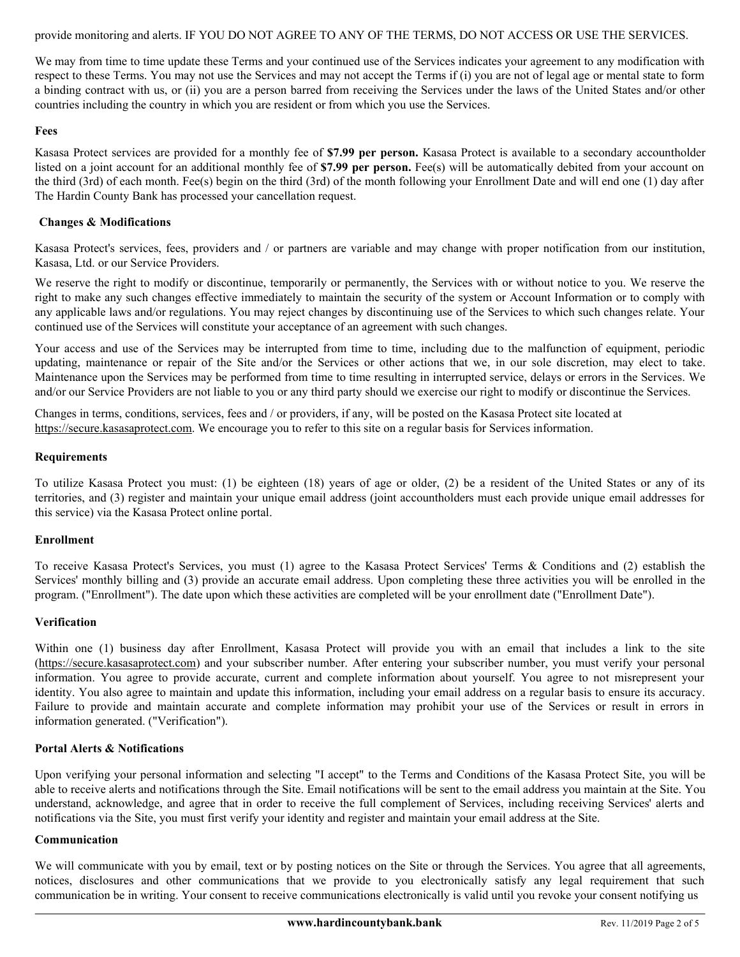provide monitoring and alerts. IF YOU DO NOT AGREE TO ANY OF THE TERMS, DO NOT ACCESS OR USE THE SERVICES.

We may from time to time update these Terms and your continued use of the Services indicates your agreement to any modification with respect to these Terms. You may not use the Services and may not accept the Terms if (i) you are not of legal age or mental state to form a binding contract with us, or (ii) you are a person barred from receiving the Services under the laws of the United States and/or other countries including the country in which you are resident or from which you use the Services.

#### **Fees**

Kasasa Protect services are provided for a monthly fee of **\$7.99 per person.** Kasasa Protect is available to a secondary accountholder listed on a joint account for an additional monthly fee of \$7.99 per person. Fee(s) will be automatically debited from your account on the third (3rd) of each month. Fee(s) begin on the third (3rd) of the month following your Enrollment Date and will end one (1) day after The Hardin County Bank has processed your cancellation request.

### **Changes & Modifications**

Kasasa Protect's services, fees, providers and / or partners are variable and may change with proper notification from our institution, Kasasa, Ltd. or our Service Providers.

We reserve the right to modify or discontinue, temporarily or permanently, the Services with or without notice to you. We reserve the right to make any such changes effective immediately to maintain the security of the system or Account Information or to comply with any applicable laws and/or regulations. You may reject changes by discontinuing use of the Services to which such changes relate. Your continued use of the Services will constitute your acceptance of an agreement with such changes.

Your access and use of the Services may be interrupted from time to time, including due to the malfunction of equipment, periodic updating, maintenance or repair of the Site and/or the Services or other actions that we, in our sole discretion, may elect to take. Maintenance upon the Services may be performed from time to time resulting in interrupted service, delays or errors in the Services. We and/or our Service Providers are not liable to you or any third party should we exercise our right to modify or discontinue the Services.

Changes in terms, conditions, services, fees and / or providers, if any, will be posted on the Kasasa Protect site located at https://secure.kasasaprotect.com. We encourage you to refer to this site on a regular basis for Services information.

### **Requirements**

To utilize Kasasa Protect you must: (1) be eighteen (18) years of age or older, (2) be a resident of the United States or any of its territories, and (3) register and maintain your unique email address (joint accountholders must each provide unique email addresses for this service) via the Kasasa Protect online portal.

### **Enrollment**

To receive Kasasa Protect's Services, you must (1) agree to the Kasasa Protect Services' Terms & Conditions and (2) establish the Services' monthly billing and (3) provide an accurate email address. Upon completing these three activities you will be enrolled in the program. ("Enrollment"). The date upon which these activities are completed will be your enrollment date ("Enrollment Date").

### **Verification**

Within one (1) business day after Enrollment, Kasasa Protect will provide you with an email that includes a link to the site (https://secure.kasasaprotect.com) and your subscriber number. After entering your subscriber number, you must verify your personal information. You agree to provide accurate, current and complete information about yourself. You agree to not misrepresent your identity. You also agree to maintain and update this information, including your email address on a regular basis to ensure its accuracy. Failure to provide and maintain accurate and complete information may prohibit your use of the Services or result in errors in information generated. ("Verification").

### **Portal Alerts & Notifications**

Upon verifying your personal information and selecting "I accept" to the Terms and Conditions of the Kasasa Protect Site, you will be able to receive alerts and notifications through the Site. Email notifications will be sent to the email address you maintain at the Site. You understand, acknowledge, and agree that in order to receive the full complement of Services, including receiving Services' alerts and notifications via the Site, you must first verify your identity and register and maintain your email address at the Site.

### **Communication**

We will communicate with you by email, text or by posting notices on the Site or through the Services. You agree that all agreements, notices, disclosures and other communications that we provide to you electronically satisfy any legal requirement that such communication be in writing. Your consent to receive communications electronically is valid until you revoke your consent notifying us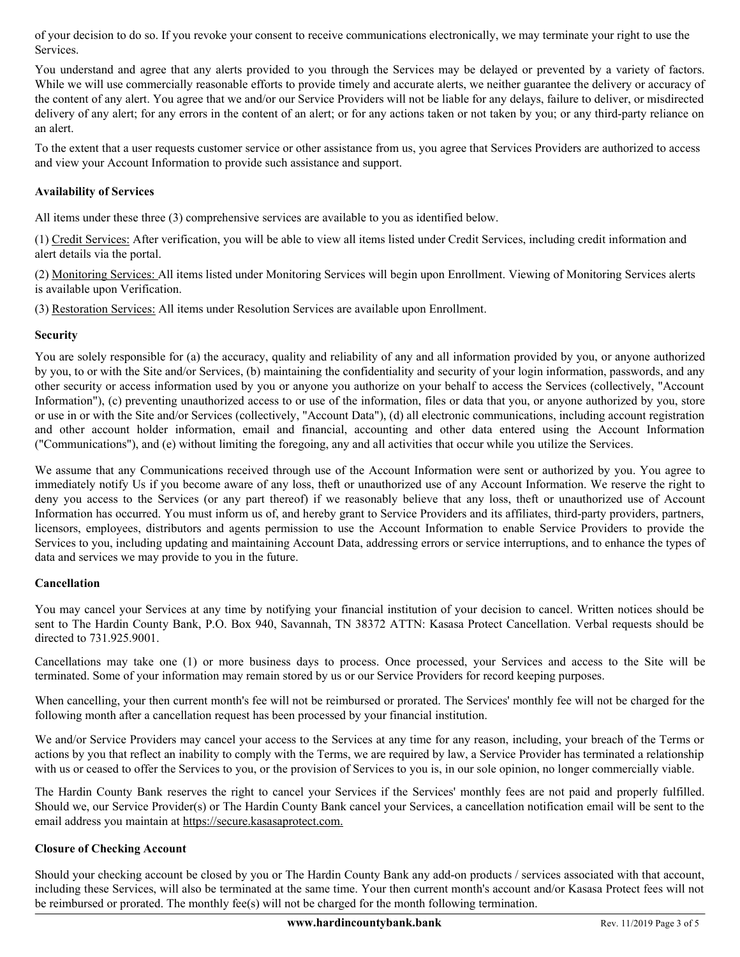of your decision to do so. If you revoke your consent to receive communications electronically, we may terminate your right to use the Services.

You understand and agree that any alerts provided to you through the Services may be delayed or prevented by a variety of factors. While we will use commercially reasonable efforts to provide timely and accurate alerts, we neither guarantee the delivery or accuracy of the content of any alert. You agree that we and/or our Service Providers will not be liable for any delays, failure to deliver, or misdirected delivery of any alert; for any errors in the content of an alert; or for any actions taken or not taken by you; or any third-party reliance on an alert.

To the extent that a user requests customer service or other assistance from us, you agree that Services Providers are authorized to access and view your Account Information to provide such assistance and support.

# **Availability of Services**

All items under these three (3) comprehensive services are available to you as identified below.

(1) Credit Services: After verification, you will be able to view all items listed under Credit Services, including credit information and alert details via the portal.

(2) Monitoring Services: All items listed under Monitoring Services will begin upon Enrollment. Viewing of Monitoring Services alerts is available upon Verification.

(3) Restoration Services: All items under Resolution Services are available upon Enrollment.

# **Security**

You are solely responsible for (a) the accuracy, quality and reliability of any and all information provided by you, or anyone authorized by you, to or with the Site and/or Services, (b) maintaining the confidentiality and security of your login information, passwords, and any other security or access information used by you or anyone you authorize on your behalf to access the Services (collectively, "Account Information"), (c) preventing unauthorized access to or use of the information, files or data that you, or anyone authorized by you, store or use in or with the Site and/or Services (collectively, "Account Data"), (d) all electronic communications, including account registration and other account holder information, email and financial, accounting and other data entered using the Account Information ("Communications"), and (e) without limiting the foregoing, any and all activities that occur while you utilize the Services.

We assume that any Communications received through use of the Account Information were sent or authorized by you. You agree to immediately notify Us if you become aware of any loss, theft or unauthorized use of any Account Information. We reserve the right to deny you access to the Services (or any part thereof) if we reasonably believe that any loss, theft or unauthorized use of Account Information has occurred. You must inform us of, and hereby grant to Service Providers and its affiliates, third-party providers, partners, licensors, employees, distributors and agents permission to use the Account Information to enable Service Providers to provide the Services to you, including updating and maintaining Account Data, addressing errors or service interruptions, and to enhance the types of data and services we may provide to you in the future.

### **Cancellation**

You may cancel your Services at any time by notifying your financial institution of your decision to cancel. Written notices should be sent to The Hardin County Bank, P.O. Box 940, Savannah, TN 38372 ATTN: Kasasa Protect Cancellation. Verbal requests should be directed to 731.925.9001.

Cancellations may take one (1) or more business days to process. Once processed, your Services and access to the Site will be terminated. Some of your information may remain stored by us or our Service Providers for record keeping purposes.

When cancelling, your then current month's fee will not be reimbursed or prorated. The Services' monthly fee will not be charged for the following month after a cancellation request has been processed by your financial institution.

We and/or Service Providers may cancel your access to the Services at any time for any reason, including, your breach of the Terms or actions by you that reflect an inability to comply with the Terms, we are required by law, a Service Provider has terminated a relationship with us or ceased to offer the Services to you, or the provision of Services to you is, in our sole opinion, no longer commercially viable.

The Hardin County Bank reserves the right to cancel your Services if the Services' monthly fees are not paid and properly fulfilled. Should we, our Service Provider(s) or The Hardin County Bank cancel your Services, a cancellation notification email will be sent to the email address you maintain at https://secure.kasasaprotect.com.

# **Closure of Checking Account**

Should your checking account be closed by you or The Hardin County Bank any add-on products / services associated with that account, including these Services, will also be terminated at the same time. Your then current month's account and/or Kasasa Protect fees will not be reimbursed or prorated. The monthly fee(s) will not be charged for the month following termination.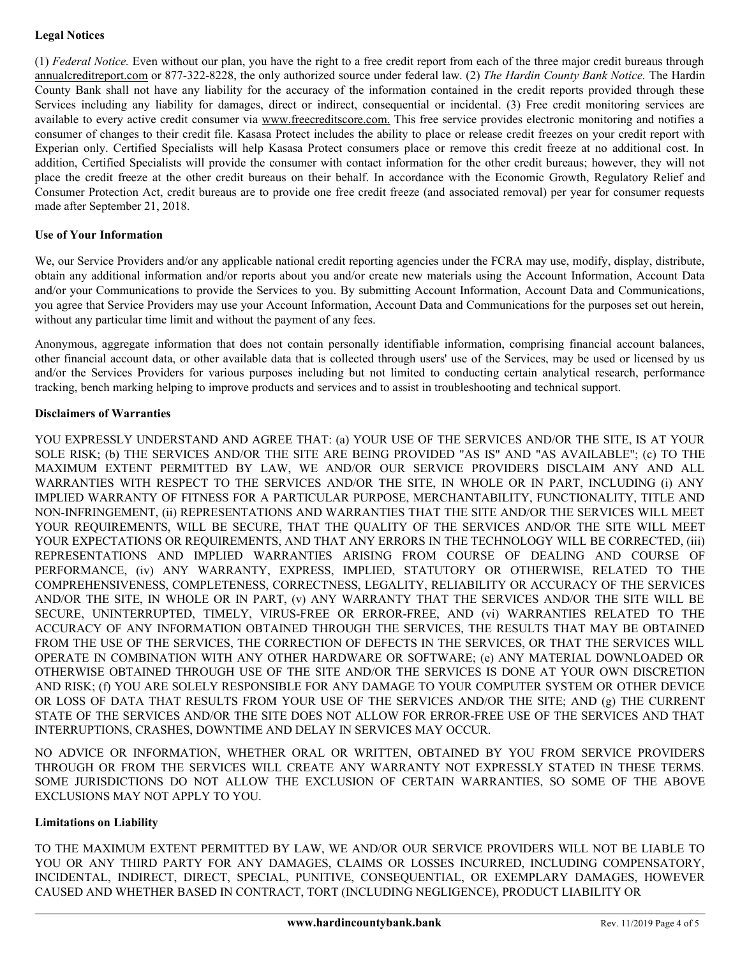# **Legal Notices**

(1) *Federal Notice.* Even without our plan, you have the right to a free credit report from each of the three major credit bureaus through annualcreditreport.com or 877-322-8228, the only authorized source under federal law. (2) *The Hardin County Bank Notice.* The Hardin County Bank shall not have any liability for the accuracy of the information contained in the credit reports provided through these Services including any liability for damages, direct or indirect, consequential or incidental. (3) Free credit monitoring services are available to every active credit consumer via www.freecreditscore.com. This free service provides electronic monitoring and notifies a consumer of changes to their credit file. Kasasa Protect includes the ability to place or release credit freezes on your credit report with Experian only. Certified Specialists will help Kasasa Protect consumers place or remove this credit freeze at no additional cost. In addition, Certified Specialists will provide the consumer with contact information for the other credit bureaus; however, they will not place the credit freeze at the other credit bureaus on their behalf. In accordance with the Economic Growth, Regulatory Relief and Consumer Protection Act, credit bureaus are to provide one free credit freeze (and associated removal) per year for consumer requests made after September 21, 2018.

# **Use of Your Information**

We, our Service Providers and/or any applicable national credit reporting agencies under the FCRA may use, modify, display, distribute, obtain any additional information and/or reports about you and/or create new materials using the Account Information, Account Data and/or your Communications to provide the Services to you. By submitting Account Information, Account Data and Communications, you agree that Service Providers may use your Account Information, Account Data and Communications for the purposes set out herein, without any particular time limit and without the payment of any fees.

Anonymous, aggregate information that does not contain personally identifiable information, comprising financial account balances, other financial account data, or other available data that is collected through users' use of the Services, may be used or licensed by us and/or the Services Providers for various purposes including but not limited to conducting certain analytical research, performance tracking, bench marking helping to improve products and services and to assist in troubleshooting and technical support.

# **Disclaimers of Warranties**

YOU EXPRESSLY UNDERSTAND AND AGREE THAT: (a) YOUR USE OF THE SERVICES AND/OR THE SITE, IS AT YOUR SOLE RISK; (b) THE SERVICES AND/OR THE SITE ARE BEING PROVIDED "AS IS" AND "AS AVAILABLE"; (c) TO THE MAXIMUM EXTENT PERMITTED BY LAW, WE AND/OR OUR SERVICE PROVIDERS DISCLAIM ANY AND ALL WARRANTIES WITH RESPECT TO THE SERVICES AND/OR THE SITE, IN WHOLE OR IN PART, INCLUDING (i) ANY IMPLIED WARRANTY OF FITNESS FOR A PARTICULAR PURPOSE, MERCHANTABILITY, FUNCTIONALITY, TITLE AND NON-INFRINGEMENT, (ii) REPRESENTATIONS AND WARRANTIES THAT THE SITE AND/OR THE SERVICES WILL MEET YOUR REQUIREMENTS, WILL BE SECURE, THAT THE QUALITY OF THE SERVICES AND/OR THE SITE WILL MEET YOUR EXPECTATIONS OR REQUIREMENTS, AND THAT ANY ERRORS IN THE TECHNOLOGY WILL BE CORRECTED, (iii) REPRESENTATIONS AND IMPLIED WARRANTIES ARISING FROM COURSE OF DEALING AND COURSE OF PERFORMANCE, (iv) ANY WARRANTY, EXPRESS, IMPLIED, STATUTORY OR OTHERWISE, RELATED TO THE COMPREHENSIVENESS, COMPLETENESS, CORRECTNESS, LEGALITY, RELIABILITY OR ACCURACY OF THE SERVICES AND/OR THE SITE, IN WHOLE OR IN PART, (v) ANY WARRANTY THAT THE SERVICES AND/OR THE SITE WILL BE SECURE, UNINTERRUPTED, TIMELY, VIRUS-FREE OR ERROR-FREE, AND (vi) WARRANTIES RELATED TO THE ACCURACY OF ANY INFORMATION OBTAINED THROUGH THE SERVICES, THE RESULTS THAT MAY BE OBTAINED FROM THE USE OF THE SERVICES, THE CORRECTION OF DEFECTS IN THE SERVICES, OR THAT THE SERVICES WILL OPERATE IN COMBINATION WITH ANY OTHER HARDWARE OR SOFTWARE; (e) ANY MATERIAL DOWNLOADED OR OTHERWISE OBTAINED THROUGH USE OF THE SITE AND/OR THE SERVICES IS DONE AT YOUR OWN DISCRETION AND RISK; (f) YOU ARE SOLELY RESPONSIBLE FOR ANY DAMAGE TO YOUR COMPUTER SYSTEM OR OTHER DEVICE OR LOSS OF DATA THAT RESULTS FROM YOUR USE OF THE SERVICES AND/OR THE SITE; AND (g) THE CURRENT STATE OF THE SERVICES AND/OR THE SITE DOES NOT ALLOW FOR ERROR-FREE USE OF THE SERVICES AND THAT INTERRUPTIONS, CRASHES, DOWNTIME AND DELAY IN SERVICES MAY OCCUR.

NO ADVICE OR INFORMATION, WHETHER ORAL OR WRITTEN, OBTAINED BY YOU FROM SERVICE PROVIDERS THROUGH OR FROM THE SERVICES WILL CREATE ANY WARRANTY NOT EXPRESSLY STATED IN THESE TERMS. SOME JURISDICTIONS DO NOT ALLOW THE EXCLUSION OF CERTAIN WARRANTIES, SO SOME OF THE ABOVE EXCLUSIONS MAY NOT APPLY TO YOU.

### **Limitations on Liability**

TO THE MAXIMUM EXTENT PERMITTED BY LAW, WE AND/OR OUR SERVICE PROVIDERS WILL NOT BE LIABLE TO YOU OR ANY THIRD PARTY FOR ANY DAMAGES, CLAIMS OR LOSSES INCURRED, INCLUDING COMPENSATORY, INCIDENTAL, INDIRECT, DIRECT, SPECIAL, PUNITIVE, CONSEQUENTIAL, OR EXEMPLARY DAMAGES, HOWEVER CAUSED AND WHETHER BASED IN CONTRACT, TORT (INCLUDING NEGLIGENCE), PRODUCT LIABILITY OR